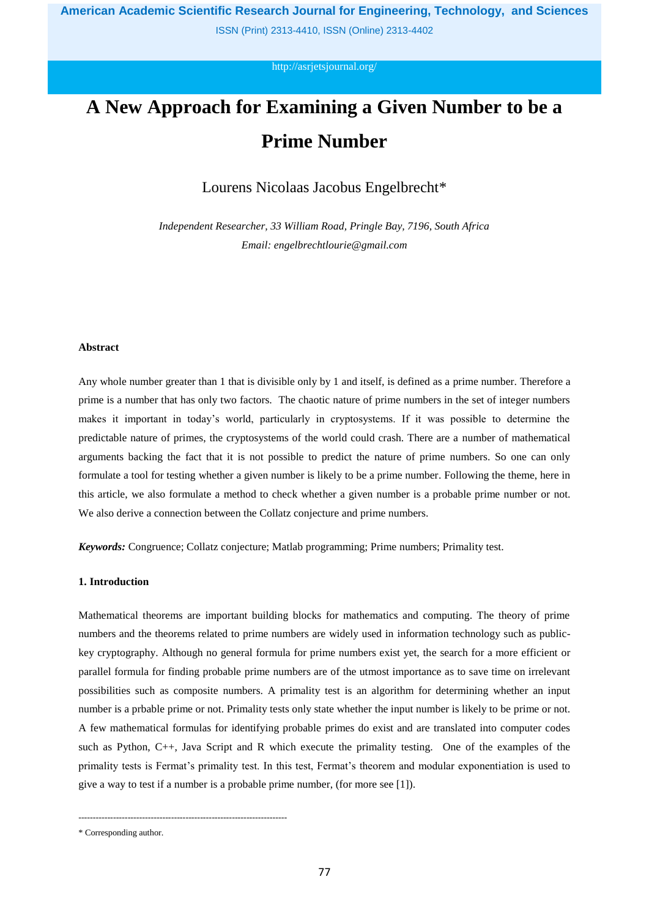ISSN (Print) 2313-4410, ISSN (Online) 2313-4402

<http://asrjetsjournal.org/>

# **A New Approach for Examining a Given Number to be a Prime Number**

Lourens Nicolaas Jacobus Engelbrecht\*

*Independent Researcher, 33 William Road, Pringle Bay, 7196, South Africa Email: engelbrechtlourie@gmail.com*

#### **Abstract**

Any whole number greater than 1 that is divisible only by 1 and itself, is defined as a prime [number.](https://www.cuemath.com/numbers/prime-numbers/) Therefore a prime is a number that has only two factors. The chaotic nature of prime numbers in the set of integer numbers makes it important in today's world, particularly in cryptosystems. If it was possible to determine the predictable nature of primes, the cryptosystems of the world could crash. There are a number of mathematical arguments backing the fact that it is not possible to predict the nature of prime numbers. So one can only formulate a tool for testing whether a given number is likely to be a prime number. Following the theme, here in this article, we also formulate a method to check whether a given number is a probable prime number or not. We also derive a connection between the Collatz conjecture and prime numbers.

*Keywords:* Congruence; Collatz conjecture; Matlab programming; Prime numbers; Primality test.

## **1. Introduction**

Mathematical theorems are important building blocks for mathematics and computing. The theory of prime numbers and the theorems related to prime numbers are widely used in information technology such as publickey cryptography. Although no general formula for prime numbers exist yet, the search for a more efficient or parallel formula for finding probable prime numbers are of the utmost importance as to save time on irrelevant possibilities such as composite numbers. A primality test is an algorithm for determining whether an input number is a prbable prime or not. Primality tests only state whether the input number is likely to be prime or not. A few mathematical formulas for identifying probable primes do exist and are translated into computer codes such as Python, C++, Java Script and R which execute the primality testing. One of the examples of the primality tests is Fermat's primality test. In this test, Fermat's theorem and modular exponentiation is used to give a way to test if a number is a probable prime number, (for more see [1]).

------------------------------------------------------------------------

<sup>\*</sup> Corresponding author.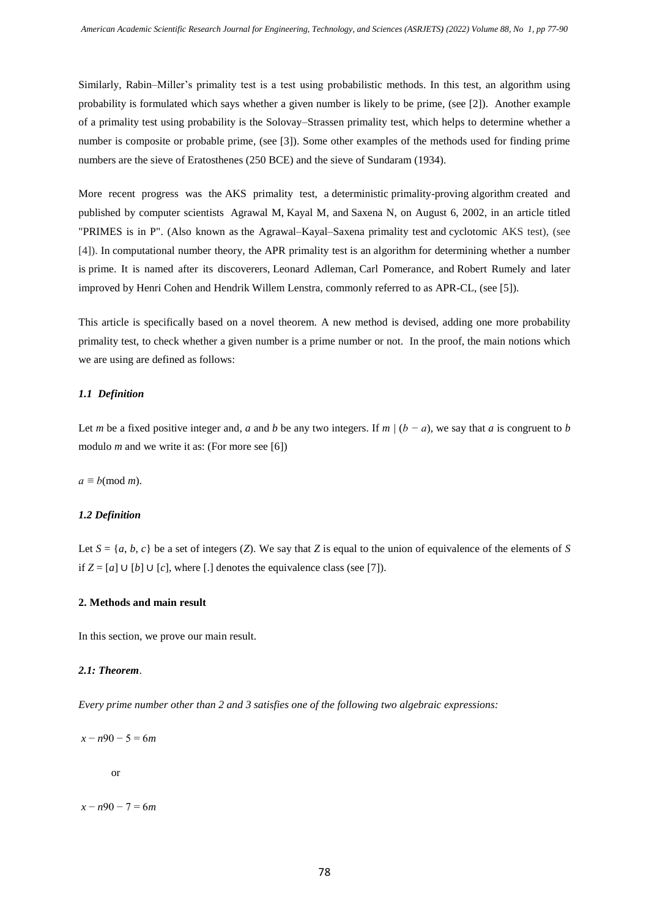Similarly, Rabin–Miller's primality test is a test using probabilistic methods. In this test, an algorithm using probability is formulated which says whether a given number is likely to be prime, (see [2]). Another example of a primality test using probability is the Solovay–Strassen primality test, which helps to determine whether a number is composite or probable prime, (see [3]). Some other examples of the methods used for finding prime numbers are the sieve of Eratosthenes (250 BCE) and the sieve of Sundaram (1934).

More recent progress was the AKS primality test, a [deterministic](https://en.wikipedia.org/wiki/Deterministic_algorithm) [primality-proving](https://en.wikipedia.org/wiki/Primality_test) [algorithm](https://en.wikipedia.org/wiki/Algorithm) created and published by computer scientists [Agrawal](https://en.wikipedia.org/wiki/Manindra_Agrawal) M, [Kayal](https://en.wikipedia.org/wiki/Neeraj_Kayal) M, and [Saxena](https://en.wikipedia.org/wiki/Nitin_Saxena) N, on August 6, 2002, in an article titled "PRIMES is in P". (Also known as the Agrawal–Kayal–Saxena primality test and cyclotomic AKS test), (see [4]). In [computational number theory,](https://en.wikipedia.org/wiki/Computational_number_theory) the APR primality test is an [algorithm](https://en.wikipedia.org/wiki/Algorithm) for determining whether a number is [prime.](https://en.wikipedia.org/wiki/Prime_number) It is named after its discoverers, [Leonard Adleman,](https://en.wikipedia.org/wiki/Leonard_Adleman) [Carl Pomerance,](https://en.wikipedia.org/wiki/Carl_Pomerance) and [Robert Rumely](https://en.wikipedia.org/wiki/Robert_Rumely) and later improved by [Henri Cohen](https://en.wikipedia.org/wiki/Henri_Cohen_(number_theorist)) and [Hendrik Willem Lenstra,](https://en.wikipedia.org/wiki/Hendrik_Willem_Lenstra) commonly referred to as APR-CL, (see [5]).

This article is specifically based on a novel theorem. A new method is devised, adding one more probability primality test, to check whether a given number is a prime number or not. In the proof, the main notions which we are using are defined as follows:

## *1.1 Definition*

Let *m* be a fixed positive integer and, *a* and *b* be any two integers. If  $m/(b - a)$ , we say that *a* is congruent to *b* modulo *m* and we write it as: (For more see [6])

 $a \equiv b \pmod{m}$ .

## *1.2 Definition*

Let  $S = \{a, b, c\}$  be a set of integers (*Z*). We say that *Z* is equal to the union of equivalence of the elements of *S* if  $Z = [a]$  ∪  $[b]$  ∪  $[c]$ , where  $[.]$  denotes the equivalence class (see [7]).

## **2. Methods and main result**

In this section, we prove our main result.

## *2.1: Theorem*.

*Every prime number other than 2 and 3 satisfies one of the following two algebraic expressions:* 

*x* − *n*90 − 5 = 6*m*

or

*x* − *n*90 − 7 = 6*m*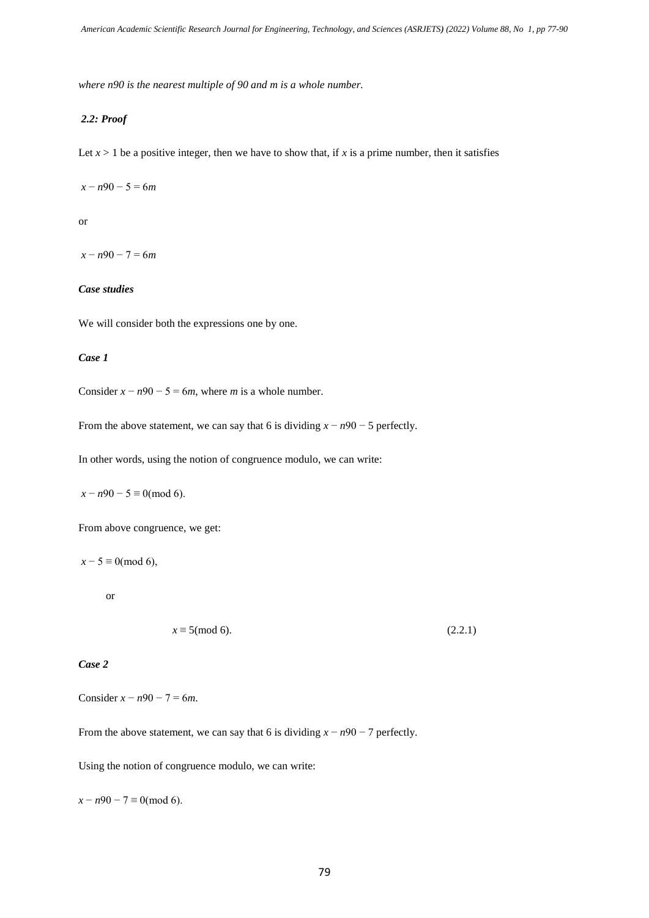*where n90 is the nearest multiple of 90 and m is a whole number.*

## *2.2: Proof*

Let  $x > 1$  be a positive integer, then we have to show that, if x is a prime number, then it satisfies

*x* − *n*90 − 5 = 6*m*

or

*x* − *n*90 − 7 = 6*m*

## *Case studies*

We will consider both the expressions one by one.

## *Case 1*

Consider  $x - n90 - 5 = 6m$ , where *m* is a whole number.

From the above statement, we can say that 6 is dividing  $x - n90 - 5$  perfectly.

In other words, using the notion of congruence modulo, we can write:

*x* − *n*90 − 5 ≡ 0(mod 6).

From above congruence, we get:

 $x - 5 \equiv 0 \pmod{6}$ ,

or

 $x \equiv 5 \pmod{6}$ . (2.2.1)

# *Case 2*

Consider  $x - n90 - 7 = 6m$ .

From the above statement, we can say that 6 is dividing *x* − *n*90 − 7 perfectly.

Using the notion of congruence modulo, we can write:

 $x - n90 - 7 \equiv 0 \pmod{6}$ .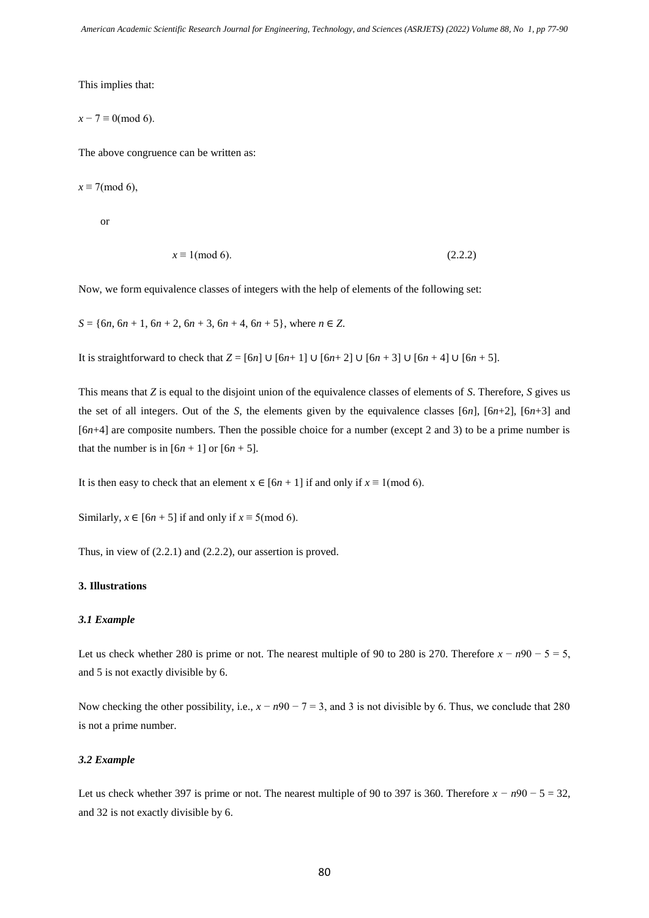This implies that:

$$
x-7\equiv 0\text{(mod 6)}.
$$

The above congruence can be written as:

$$
x \equiv 7 \pmod{6},
$$

or

$$
x \equiv 1 \pmod{6}.\tag{2.2.2}
$$

Now, we form equivalence classes of integers with the help of elements of the following set:

 $S = \{6n, 6n + 1, 6n + 2, 6n + 3, 6n + 4, 6n + 5\}$ , where  $n \in \mathbb{Z}$ .

It is straightforward to check that  $Z = [6n]$  ∪  $[6n+1]$  ∪  $[6n+2]$  ∪  $[6n+3]$  ∪  $[6n+4]$  ∪  $[6n+5]$ .

This means that *Z* is equal to the disjoint union of the equivalence classes of elements of *S*. Therefore, *S* gives us the set of all integers. Out of the *S*, the elements given by the equivalence classes [6*n*], [6*n*+2], [6*n*+3] and [6*n*+4] are composite numbers. Then the possible choice for a number (except 2 and 3) to be a prime number is that the number is in  $[6n + 1]$  or  $[6n + 5]$ .

It is then easy to check that an element  $x \in [6n + 1]$  if and only if  $x \equiv 1 \pmod{6}$ .

Similarly,  $x \in [6n + 5]$  if and only if  $x \equiv 5 \pmod{6}$ .

Thus, in view of (2.2.1) and (2.2.2), our assertion is proved.

## **3. Illustrations**

#### *3.1 Example*

Let us check whether 280 is prime or not. The nearest multiple of 90 to 280 is 270. Therefore  $x - n90 - 5 = 5$ , and 5 is not exactly divisible by 6.

Now checking the other possibility, i.e.,  $x - n90 - 7 = 3$ , and 3 is not divisible by 6. Thus, we conclude that 280 is not a prime number.

## *3.2 Example*

Let us check whether 397 is prime or not. The nearest multiple of 90 to 397 is 360. Therefore  $x - n90 - 5 = 32$ , and 32 is not exactly divisible by 6.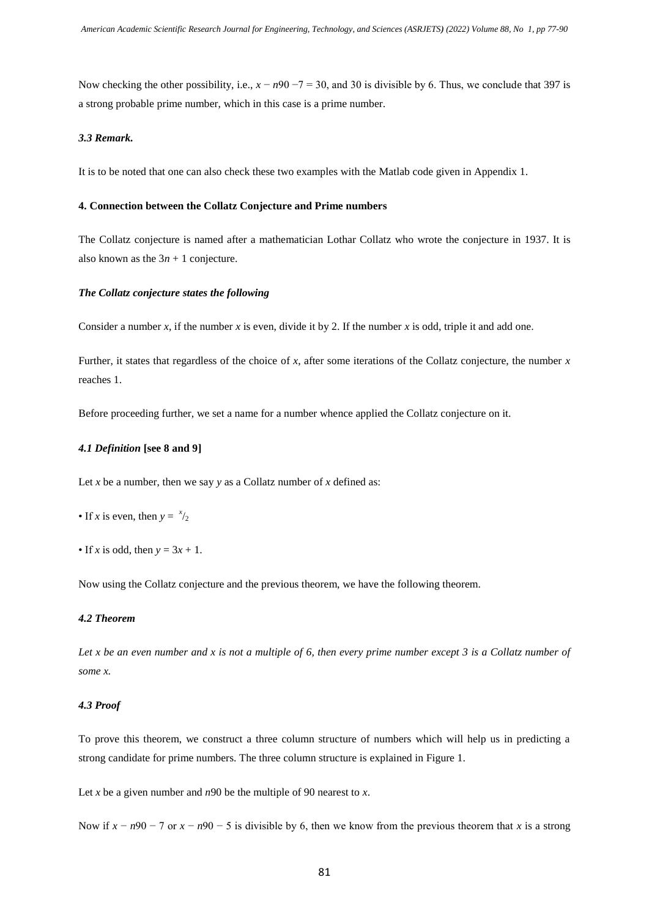Now checking the other possibility, i.e.,  $x - n90 - 7 = 30$ , and 30 is divisible by 6. Thus, we conclude that 397 is a strong probable prime number, which in this case is a prime number.

## *3.3 Remark.*

It is to be noted that one can also check these two examples with the Matlab code given in Appendix 1.

#### **4. Connection between the Collatz Conjecture and Prime numbers**

The Collatz conjecture is named after a mathematician Lothar Collatz who wrote the conjecture in 1937. It is also known as the  $3n + 1$  conjecture.

#### *The Collatz conjecture states the following*

Consider a number  $x$ , if the number  $x$  is even, divide it by 2. If the number  $x$  is odd, triple it and add one.

Further, it states that regardless of the choice of *x*, after some iterations of the Collatz conjecture, the number *x* reaches 1.

Before proceeding further, we set a name for a number whence applied the Collatz conjecture on it.

#### *4.1 Definition* **[see 8 and 9]**

Let *x* be a number, then we say *y* as a Collatz number of *x* defined as:

- If *x* is even, then  $y = \frac{x}{2}$
- If *x* is odd, then  $y = 3x + 1$ .

Now using the Collatz conjecture and the previous theorem, we have the following theorem.

## *4.2 Theorem*

Let x be an even number and x is not a multiple of 6, then every prime number except 3 is a Collatz number of *some x.* 

## *4.3 Proof*

To prove this theorem, we construct a three column structure of numbers which will help us in predicting a strong candidate for prime numbers. The three column structure is explained in Figure 1.

Let *x* be a given number and *n*90 be the multiple of 90 nearest to *x*.

Now if  $x - n90 - 7$  or  $x - n90 - 5$  is divisible by 6, then we know from the previous theorem that *x* is a strong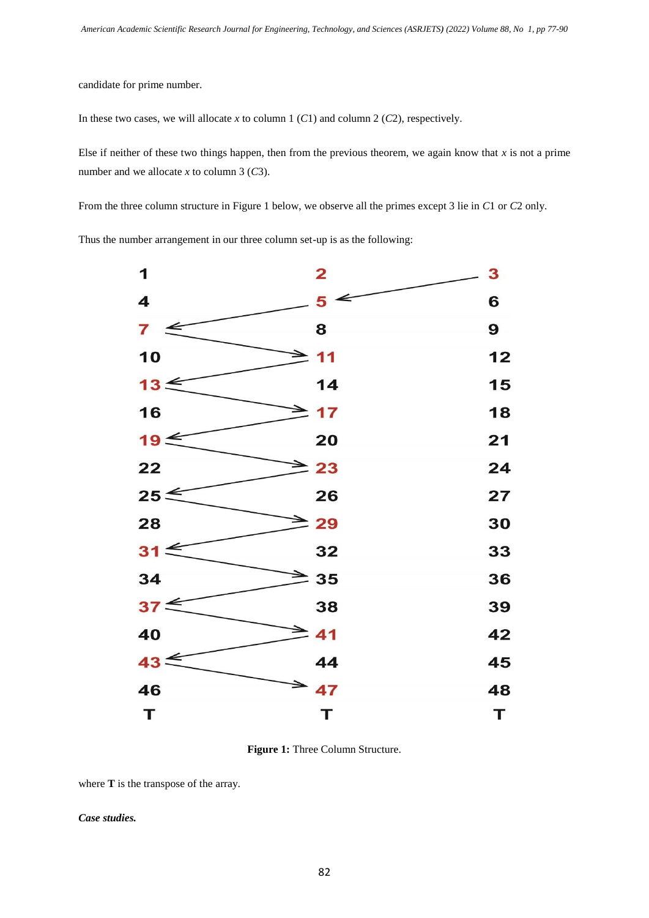candidate for prime number.

In these two cases, we will allocate *x* to column 1 (*C*1) and column 2 (*C*2), respectively.

Else if neither of these two things happen, then from the previous theorem, we again know that  $x$  is not a prime number and we allocate *x* to column 3 (*C*3).

From the three column structure in Figure 1 below, we observe all the primes except 3 lie in *C*1 or *C*2 only.

Thus the number arrangement in our three column set-up is as the following:

| 1               | $\mathbf{2}$                | 3  |
|-----------------|-----------------------------|----|
| 4               | 5                           | 6  |
| 7<br>↞          | 8                           | 9  |
| 10              | 11                          | 12 |
| $13 \leq$       | 14                          | 15 |
| 16              | $\blacktriangleright$<br>17 | 18 |
| 19<             | 20                          | 21 |
| 22              | $\geq$ 23                   | 24 |
| $25 \leq$       | 26                          | 27 |
| 28              | $\geq$ 29                   | 30 |
| $31 \leq$       | 32                          | 33 |
| 34              | $\geq$ 35                   | 36 |
| 37 <sup>2</sup> | 38                          | 39 |
| 40              | $\geq$ 41                   | 42 |
| $43 \leq$       | 44                          | 45 |
| 46              | $\geq 47$                   | 48 |
| Т               | Т                           | T  |

**Figure 1:** Three Column Structure.

where **T** is the transpose of the array.

*Case studies.*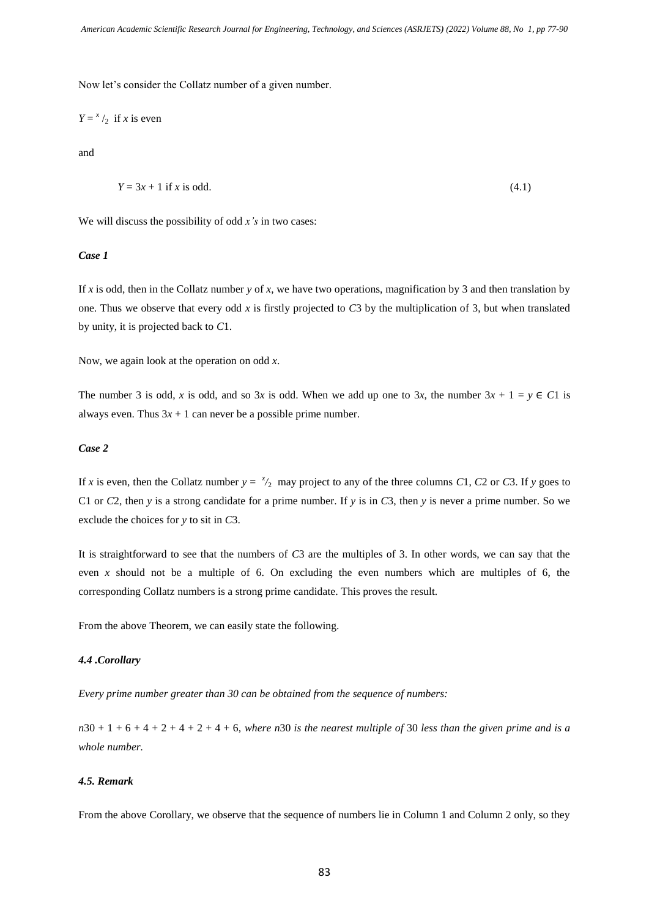Now let's consider the Collatz number of a given number.

$$
Y = x/2
$$
 if x is even

and

$$
Y = 3x + 1
$$
 if x is odd. (4.1)

We will discuss the possibility of odd *x's* in two cases:

## *Case 1*

If *x* is odd, then in the Collatz number *y* of *x*, we have two operations, magnification by 3 and then translation by one. Thus we observe that every odd *x* is firstly projected to *C*3 by the multiplication of 3, but when translated by unity, it is projected back to *C*1.

Now, we again look at the operation on odd *x*.

The number 3 is odd, *x* is odd, and so 3*x* is odd. When we add up one to 3*x*, the number  $3x + 1 = y \in C1$  is always even. Thus  $3x + 1$  can never be a possible prime number.

## *Case 2*

If *x* is even, then the Collatz number  $y = \frac{x}{2}$  may project to any of the three columns *C*1, *C*2 or *C*3. If *y* goes to C1 or *C*2, then *y* is a strong candidate for a prime number. If *y* is in *C*3, then *y* is never a prime number. So we exclude the choices for *y* to sit in *C*3.

It is straightforward to see that the numbers of *C*3 are the multiples of 3. In other words, we can say that the even *x* should not be a multiple of 6. On excluding the even numbers which are multiples of 6, the corresponding Collatz numbers is a strong prime candidate. This proves the result.

From the above Theorem, we can easily state the following.

#### *4.4 .Corollary*

*Every prime number greater than 30 can be obtained from the sequence of numbers:*

*n*30 + 1 + 6 + 4 + 2 + 4 + 2 + 4 + 6, *where n*30 *is the nearest multiple of* 30 *less than the given prime and is a whole number.* 

# *4.5. Remark*

From the above Corollary, we observe that the sequence of numbers lie in Column 1 and Column 2 only, so they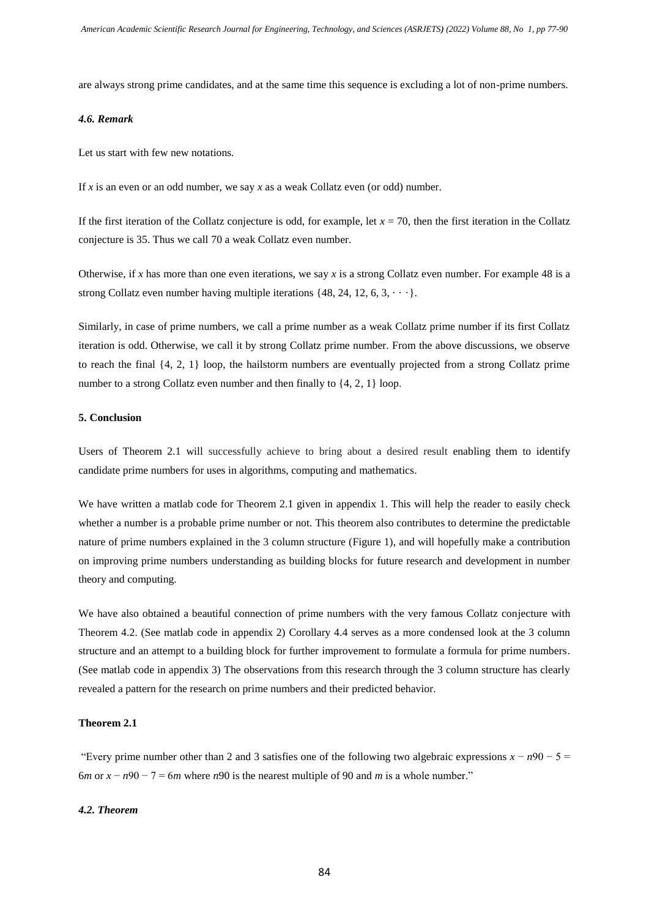are always strong prime candidates, and at the same time this sequence is excluding a lot of non-prime numbers.

#### *4.6. Remark*

Let us start with few new notations.

If *x* is an even or an odd number, we say *x* as a weak Collatz even (or odd) number.

If the first iteration of the Collatz conjecture is odd, for example, let  $x = 70$ , then the first iteration in the Collatz conjecture is 35. Thus we call 70 a weak Collatz even number.

Otherwise, if *x* has more than one even iterations, we say *x* is a strong Collatz even number. For example 48 is a strong Collatz even number having multiple iterations  $\{48, 24, 12, 6, 3, \dots\}$ .

Similarly, in case of prime numbers, we call a prime number as a weak Collatz prime number if its first Collatz iteration is odd. Otherwise, we call it by strong Collatz prime number. From the above discussions, we observe to reach the final {4, 2, 1} loop, the hailstorm numbers are eventually projected from a strong Collatz prime number to a strong Collatz even number and then finally to  $\{4, 2, 1\}$  loop.

## **5. Conclusion**

Users of Theorem 2.1 will successfully achieve to bring about a desired result enabling them to identify candidate prime numbers for uses in algorithms, computing and mathematics.

We have written a matlab code for Theorem 2.1 given in appendix 1. This will help the reader to easily check whether a number is a probable prime number or not. This theorem also contributes to determine the predictable nature of prime numbers explained in the 3 column structure (Figure 1), and will hopefully make a contribution on improving prime numbers understanding as building blocks for future research and development in number theory and computing.

We have also obtained a beautiful connection of prime numbers with the very famous Collatz conjecture with Theorem 4.2. (See matlab code in appendix 2) Corollary 4.4 serves as a more condensed look at the 3 column structure and an attempt to a building block for further improvement to formulate a formula for prime numbers. (See matlab code in appendix 3) The observations from this research through the 3 column structure has clearly revealed a pattern for the research on prime numbers and their predicted behavior.

## **Theorem 2.1**

"Every prime number other than 2 and 3 satisfies one of the following two algebraic expressions  $x - n90 - 5 =$ 6*m* or  $x - n90 - 7 = 6$ *m* where *n*90 is the nearest multiple of 90 and *m* is a whole number."

## *4.2. Theorem*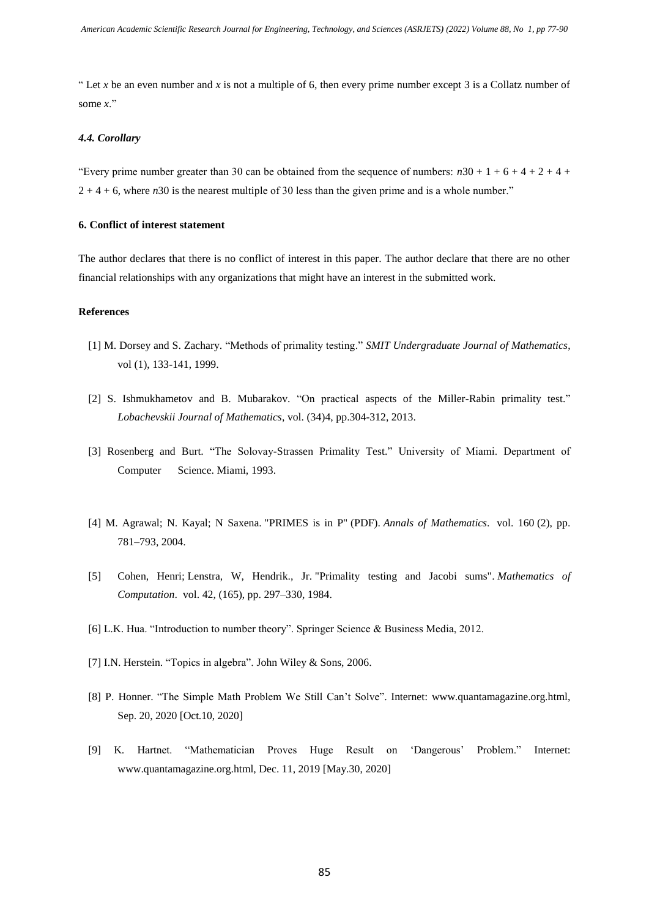" Let *x* be an even number and *x* is not a multiple of 6, then every prime number except 3 is a Collatz number of some *x*."

## *4.4. Corollary*

"Every prime number greater than 30 can be obtained from the sequence of numbers:  $n30 + 1 + 6 + 4 + 2 + 4 +$ 2 + 4 + 6, where *n*30 is the nearest multiple of 30 less than the given prime and is a whole number."

## **6. Conflict of interest statement**

The author declares that there is no conflict of interest in this paper. The author declare that there are no other financial relationships with any organizations that might have an interest in the submitted work.

## **References**

- [1] M. Dorsey and S. Zachary. "Methods of primality testing." *SMIT Undergraduate Journal of Mathematics*, vol (1), 133-141, 1999.
- [2] S. Ishmukhametov and B. Mubarakov. "On practical aspects of the Miller-Rabin primality test." *Lobachevskii Journal of Mathematics*, vol. (34)4, pp.304-312, 2013.
- [3] Rosenberg and Burt. "The Solovay-Strassen Primality Test." University of Miami. Department of Computer Science. Miami, 1993.
- [4] M. Agrawal; N. Kayal; N Saxena. ["PRIMES is in P"](http://www.cse.iitk.ac.in/users/manindra/algebra/primality_v6.pdf) (PDF). *Annals of [Mathematics](https://en.wikipedia.org/wiki/Annals_of_Mathematics)*. vol. 160 (2), pp. 781–793, 2004.
- [5] [Cohen, Henri;](https://en.wikipedia.org/wiki/Henri_Cohen_(number_theorist)) [Lenstra, W, Hendrik., Jr.](https://en.wikipedia.org/wiki/Hendrik_Lenstra) ["Primality testing and Jacobi sums".](https://doi.org/10.2307%2F2007581) *[Mathematics of](https://en.wikipedia.org/wiki/Mathematics_of_Computation)  [Computation](https://en.wikipedia.org/wiki/Mathematics_of_Computation)*. vol. 42, (165), pp. 297–330, 1984.
- [6] L.K. Hua. "Introduction to number theory". Springer Science & Business Media, 2012.
- [7] I.N. Herstein. "Topics in algebra". John Wiley & Sons, 2006.
- [8] P. Honner. "The Simple Math Problem We Still Can't Solve". Internet: [www.quantamagazine.org.html,](http://www.quantamagazine.org.html/) Sep. 20, 2020 [Oct.10, 2020]
- [9] K. Hartnet. "Mathematician Proves Huge Result on 'Dangerous' Problem." Internet: [www.quantamagazine.org.html,](http://www.quantamagazine.org.html/) Dec. 11, 2019 [May.30, 2020]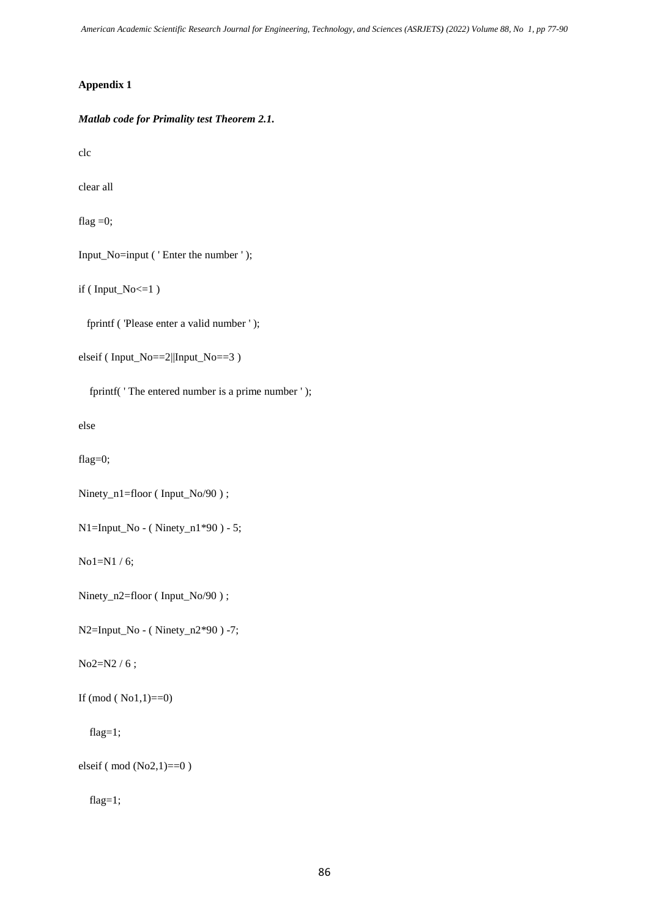*American Academic Scientific Research Journal for Engineering, Technology, and Sciences (ASRJETS) (2022) Volume 88, No 1, pp 77-90*

# **Appendix 1**

*Matlab code for Primality test Theorem 2.1.*

clc

clear all

flag  $=0$ ;

Input\_No=input ( ' Enter the number ' );

if ( Input\_No<=1 )

fprintf ( 'Please enter a valid number ' );

```
elseif ( Input_No==2||Input_No==3 )
```
fprintf( 'The entered number is a prime number ');

else

flag=0;

```
Ninety_n1=floor (Input_No/90);
```
 $N1 = Input_No - (Ninety_n1*90) - 5;$ 

No1=N1 / 6;

```
Ninety_n2=floor (Input_No/90);
```
N2=Input\_No - ( Ninety\_n2\*90 ) -7;

No2=N2 / 6 ;

If  $(mod (No1,1)=0)$ 

flag=1;

elseif ( mod (No2,1)==0 )

flag=1;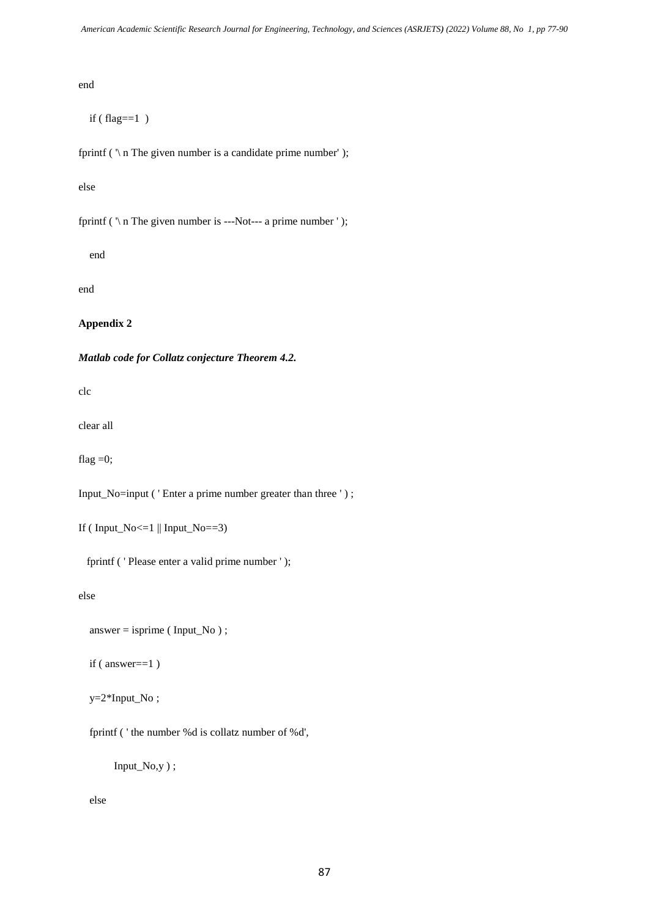end

 $if (flag==1)$ 

fprintf ( $\gamma$  n The given number is a candidate prime number');

else

fprintf ( $\ln$  The given number is ---Not--- a prime number ');

end

end

**Appendix 2**

*Matlab code for Collatz conjecture Theorem 4.2.*

clc

clear all

flag  $=0$ ;

Input\_No=input ( ' Enter a prime number greater than three ' ) ;

```
If (Input_No \leq 1 ||Input_No == 3)
```
fprintf ( ' Please enter a valid prime number ' );

else

```
answer = isprime (Input No);
```
if ( answer==1 )

 $y=2*Input No;$ 

fprintf ( ' the number %d is collatz number of %d',

Input\_No,y ) ;

else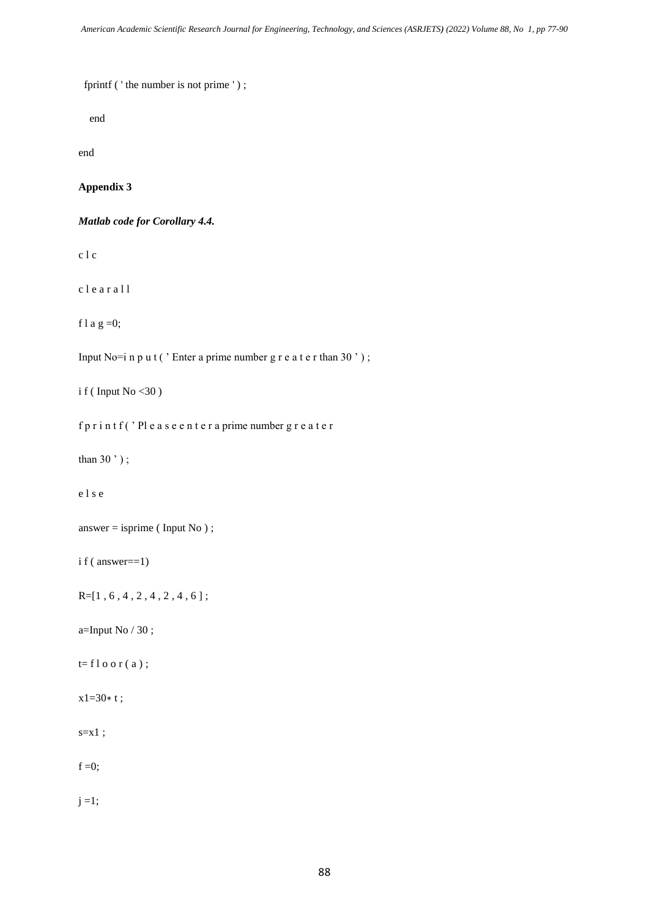fprintf ('the number is not prime');

end

end

## **Appendix 3**

*Matlab code for Corollary 4.4.*

c l c

c l e a r a l l

f l a g = 0;

Input No=i n p u t ( $'$  Enter a prime number g r e a t e r than 30 $'$ );

i f (Input No  $<$ 30)

f p r i n t f ( ' Pl e a s e e n t e r a prime number g r e a t e r

than  $30$ ');

e l s e

```
answer = isprime (Input No);
```
i f ( answer==1)

 $R=[1, 6, 4, 2, 4, 2, 4, 6]$ ;

a=Input No  $/30$ ;

 $t=f \, \log r(a)$ ;

x1=30∗ t ;

 $s=x1;$ 

 $f = 0;$ 

 $j = 1;$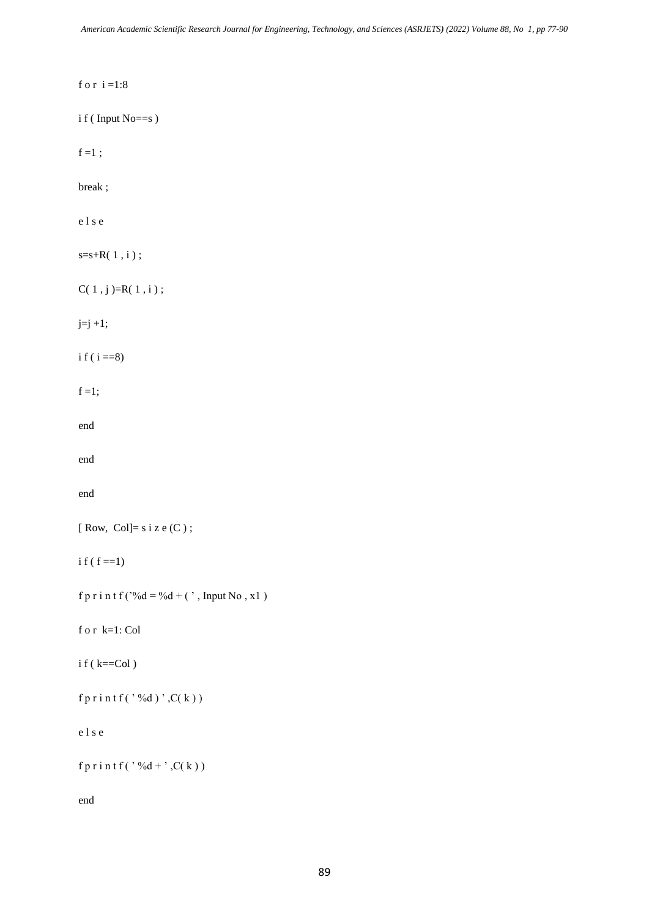```
f o r i =1:8
i f ( Input No==s )
f = 1;
break ;
e l s e
s=s+R(1,i);C(1, j)=R(1, i);j=j+1;i f ( i = = 8)f=1;
end
end
end
[Row, Col]= s i z e (C);
i f(f == 1)f p r i n t f ('%d = %d + (', Input No, x1)
f o r k=1: Col
i f ( k = col )fprintf('%d)',C(k))e l s e
f p r i n t f ( ' %d + ', C(k ) )
end
```